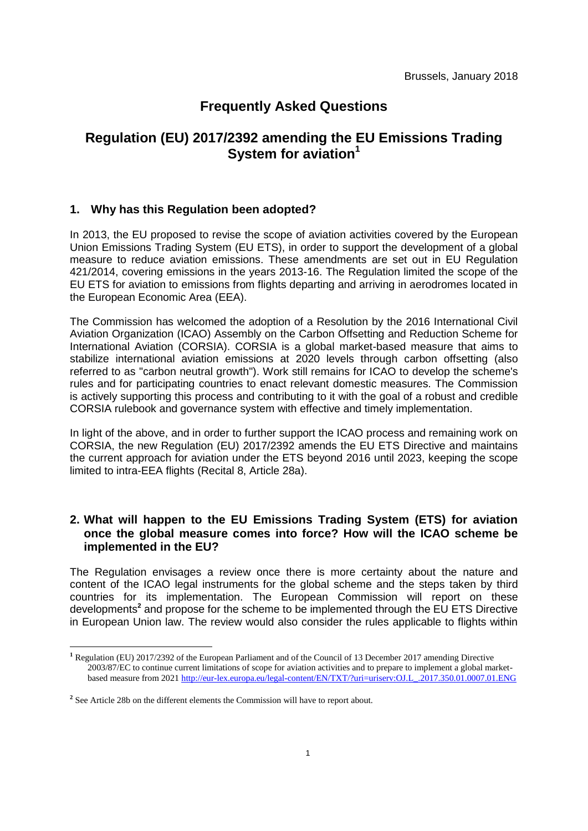# **Frequently Asked Questions**

# **Regulation (EU) 2017/2392 amending the EU Emissions Trading System for aviation<sup>1</sup>**

### **1. Why has this Regulation been adopted?**

In 2013, the EU proposed to revise the scope of aviation activities covered by the European Union Emissions Trading System (EU ETS), in order to support the development of a global measure to reduce aviation emissions. These amendments are set out in EU Regulation 421/2014, covering emissions in the years 2013-16. The Regulation limited the scope of the EU ETS for aviation to emissions from flights departing and arriving in aerodromes located in the European Economic Area (EEA).

The Commission has welcomed the adoption of a Resolution by the 2016 International Civil Aviation Organization (ICAO) Assembly on the Carbon Offsetting and Reduction Scheme for International Aviation (CORSIA). CORSIA is a global market-based measure that aims to stabilize international aviation emissions at 2020 levels through carbon offsetting (also referred to as "carbon neutral growth"). Work still remains for ICAO to develop the scheme's rules and for participating countries to enact relevant domestic measures. The Commission is actively supporting this process and contributing to it with the goal of a robust and credible CORSIA rulebook and governance system with effective and timely implementation.

In light of the above, and in order to further support the ICAO process and remaining work on CORSIA, the new Regulation (EU) 2017/2392 amends the EU ETS Directive and maintains the current approach for aviation under the ETS beyond 2016 until 2023, keeping the scope limited to intra-EEA flights (Recital 8, Article 28a).

## **2. What will happen to the EU Emissions Trading System (ETS) for aviation once the global measure comes into force? How will the ICAO scheme be implemented in the EU?**

The Regulation envisages a review once there is more certainty about the nature and content of the ICAO legal instruments for the global scheme and the steps taken by third countries for its implementation. The European Commission will report on these developments**<sup>2</sup>** and propose for the scheme to be implemented through the EU ETS Directive in European Union law. The review would also consider the rules applicable to flights within

<u>.</u>

**<sup>1</sup>** Regulation (EU) 2017/2392 of the European Parliament and of the Council of 13 December 2017 amending Directive 2003/87/EC to continue current limitations of scope for aviation activities and to prepare to implement a global marketbased measure from 202[1 http://eur-lex.europa.eu/legal-content/EN/TXT/?uri=uriserv:OJ.L\\_.2017.350.01.0007.01.ENG](http://eur-lex.europa.eu/legal-content/EN/TXT/?uri=uriserv:OJ.L_.2017.350.01.0007.01.ENG) 

<sup>&</sup>lt;sup>2</sup> See Article 28b on the different elements the Commission will have to report about.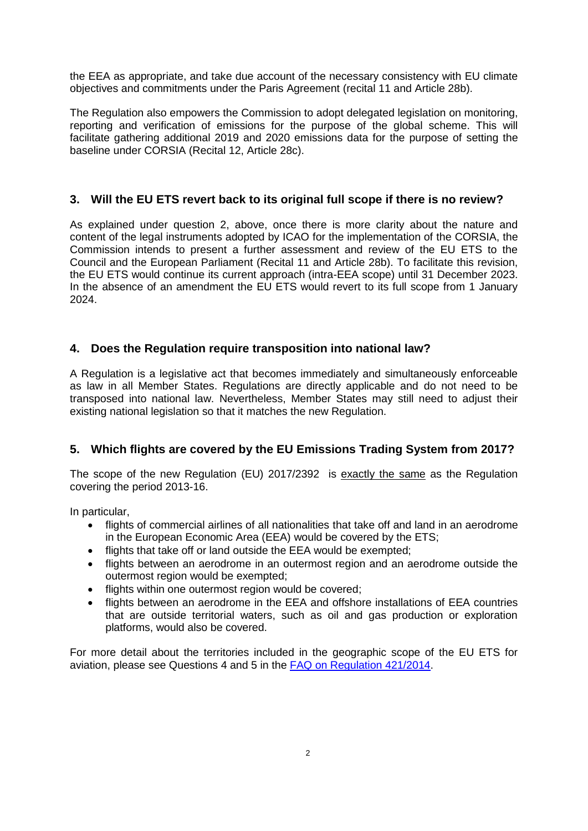the EEA as appropriate, and take due account of the necessary consistency with EU climate objectives and commitments under the Paris Agreement (recital 11 and Article 28b).

The Regulation also empowers the Commission to adopt delegated legislation on monitoring, reporting and verification of emissions for the purpose of the global scheme. This will facilitate gathering additional 2019 and 2020 emissions data for the purpose of setting the baseline under CORSIA (Recital 12, Article 28c).

## **3. Will the EU ETS revert back to its original full scope if there is no review?**

As explained under question 2, above, once there is more clarity about the nature and content of the legal instruments adopted by ICAO for the implementation of the CORSIA, the Commission intends to present a further assessment and review of the EU ETS to the Council and the European Parliament (Recital 11 and Article 28b). To facilitate this revision, the EU ETS would continue its current approach (intra-EEA scope) until 31 December 2023. In the absence of an amendment the EU ETS would revert to its full scope from 1 January 2024.

# **4. Does the Regulation require transposition into national law?**

A Regulation is a legislative act that becomes immediately and simultaneously enforceable as law in all Member States. Regulations are directly applicable and do not need to be transposed into national law. Nevertheless, Member States may still need to adjust their existing national legislation so that it matches the new Regulation.

## **5. Which flights are covered by the EU Emissions Trading System from 2017?**

The scope of the new Regulation (EU) 2017/2392 is exactly the same as the Regulation covering the period 2013-16.

In particular,

- flights of commercial airlines of all nationalities that take off and land in an aerodrome in the European Economic Area (EEA) would be covered by the ETS;
- flights that take off or land outside the EEA would be exempted;
- flights between an aerodrome in an outermost region and an aerodrome outside the outermost region would be exempted;
- flights within one outermost region would be covered:
- flights between an aerodrome in the EEA and offshore installations of EEA countries that are outside territorial waters, such as oil and gas production or exploration platforms, would also be covered.

For more detail about the territories included in the geographic scope of the EU ETS for aviation, please see Questions 4 and 5 in the FAQ on [Regulation 421/2014.](https://ec.europa.eu/clima/sites/clima/files/transport/aviation/docs/faq_aviation_2013-2016_en.pdf)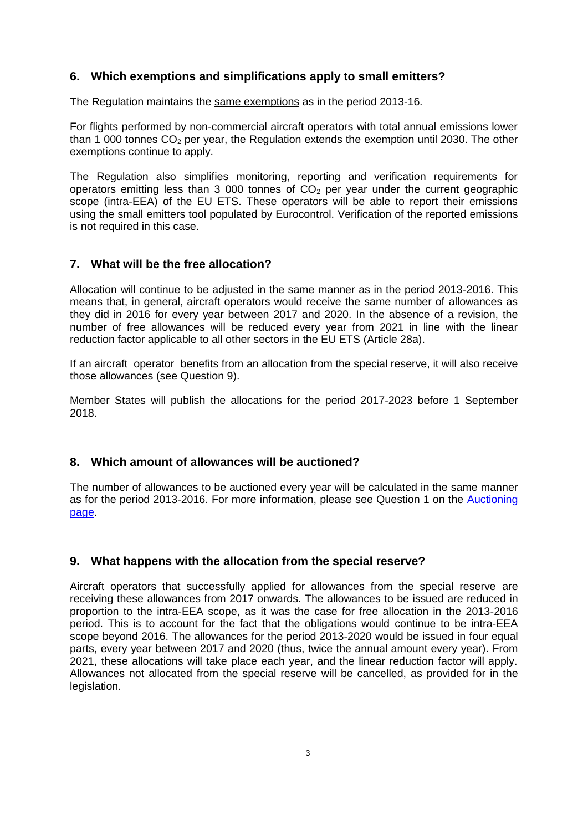## **6. Which exemptions and simplifications apply to small emitters?**

The Regulation maintains the same exemptions as in the period 2013-16.

For flights performed by non-commercial aircraft operators with total annual emissions lower than 1 000 tonnes  $CO<sub>2</sub>$  per year, the Regulation extends the exemption until 2030. The other exemptions continue to apply.

The Regulation also simplifies monitoring, reporting and verification requirements for operators emitting less than 3 000 tonnes of  $CO<sub>2</sub>$  per year under the current geographic scope (intra-EEA) of the EU ETS. These operators will be able to report their emissions using the small emitters tool populated by Eurocontrol. Verification of the reported emissions is not required in this case.

### **7. What will be the free allocation?**

Allocation will continue to be adjusted in the same manner as in the period 2013-2016. This means that, in general, aircraft operators would receive the same number of allowances as they did in 2016 for every year between 2017 and 2020. In the absence of a revision, the number of free allowances will be reduced every year from 2021 in line with the linear reduction factor applicable to all other sectors in the EU ETS (Article 28a).

If an aircraft operator benefits from an allocation from the special reserve, it will also receive those allowances (see Question 9).

Member States will publish the allocations for the period 2017-2023 before 1 September 2018.

## **8. Which amount of allowances will be auctioned?**

The number of allowances to be auctioned every year will be calculated in the same manner as for the period 2013-2016. For more information, please see Question 1 on the [Auctioning](http://ec.europa.eu/clima/policies/ets/auctioning_en#tab-0-2)  [page.](http://ec.europa.eu/clima/policies/ets/auctioning_en#tab-0-2)

## **9. What happens with the allocation from the special reserve?**

Aircraft operators that successfully applied for allowances from the special reserve are receiving these allowances from 2017 onwards. The allowances to be issued are reduced in proportion to the intra-EEA scope, as it was the case for free allocation in the 2013-2016 period. This is to account for the fact that the obligations would continue to be intra-EEA scope beyond 2016. The allowances for the period 2013-2020 would be issued in four equal parts, every year between 2017 and 2020 (thus, twice the annual amount every year). From 2021, these allocations will take place each year, and the linear reduction factor will apply. Allowances not allocated from the special reserve will be cancelled, as provided for in the legislation.